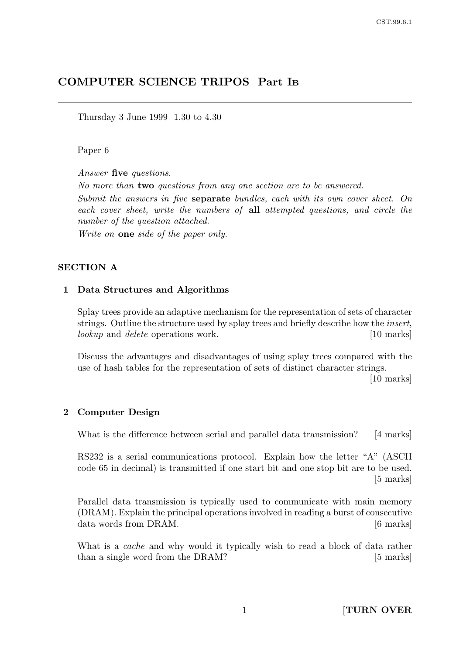# COMPUTER SCIENCE TRIPOS Part I<sup>B</sup>

Thursday 3 June 1999 1.30 to 4.30

#### Paper 6

Answer five questions.

No more than two questions from any one section are to be answered.

Submit the answers in five separate bundles, each with its own cover sheet. On each cover sheet, write the numbers of all attempted questions, and circle the number of the question attached.

Write on **one** side of the paper only.

#### SECTION A

#### 1 Data Structures and Algorithms

Splay trees provide an adaptive mechanism for the representation of sets of character strings. Outline the structure used by splay trees and briefly describe how the *insert*, lookup and delete operations work. [10 marks]

Discuss the advantages and disadvantages of using splay trees compared with the use of hash tables for the representation of sets of distinct character strings. [10 marks]

## 2 Computer Design

What is the difference between serial and parallel data transmission? [4 marks]

RS232 is a serial communications protocol. Explain how the letter "A" (ASCII code 65 in decimal) is transmitted if one start bit and one stop bit are to be used. [5 marks]

Parallel data transmission is typically used to communicate with main memory (DRAM). Explain the principal operations involved in reading a burst of consecutive data words from DRAM. [6 marks]

What is a *cache* and why would it typically wish to read a block of data rather than a single word from the DRAM? [5 marks]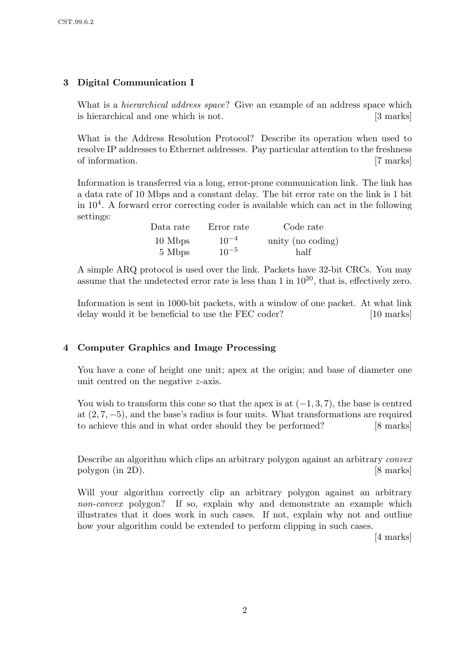# 3 Digital Communication I

What is a *hierarchical address space*? Give an example of an address space which is hierarchical and one which is not. [3 marks]

What is the Address Resolution Protocol? Describe its operation when used to resolve IP addresses to Ethernet addresses. Pay particular attention to the freshness of information. [7 marks]

Information is transferred via a long, error-prone communication link. The link has a data rate of 10 Mbps and a constant delay. The bit error rate on the link is 1 bit in 10<sup>4</sup> . A forward error correcting coder is available which can act in the following settings:

| Data rate | Error rate | Code rate         |
|-----------|------------|-------------------|
| 10 Mbps   | $10^{-4}$  | unity (no coding) |
| 5 Mbps    | $10^{-5}$  | half              |

A simple ARQ protocol is used over the link. Packets have 32-bit CRCs. You may assume that the undetected error rate is less than  $1$  in  $10^{20}$ , that is, effectively zero.

Information is sent in 1000-bit packets, with a window of one packet. At what link delay would it be beneficial to use the FEC coder? [10 marks]

# 4 Computer Graphics and Image Processing

You have a cone of height one unit; apex at the origin; and base of diameter one unit centred on the negative z-axis.

You wish to transform this cone so that the apex is at  $(-1, 3, 7)$ , the base is centred at  $(2, 7, -5)$ , and the base's radius is four units. What transformations are required to achieve this and in what order should they be performed? [8 marks]

Describe an algorithm which clips an arbitrary polygon against an arbitrary convex polygon (in 2D). [8 marks]

Will your algorithm correctly clip an arbitrary polygon against an arbitrary non-convex polygon? If so, explain why and demonstrate an example which illustrates that it does work in such cases. If not, explain why not and outline how your algorithm could be extended to perform clipping in such cases.

[4 marks]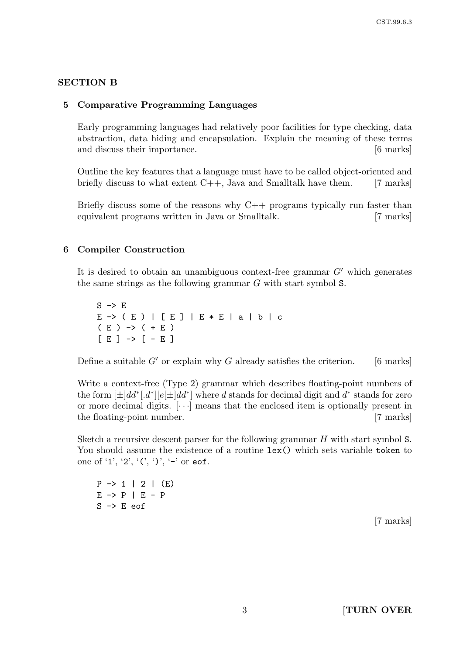## SECTION B

# 5 Comparative Programming Languages

Early programming languages had relatively poor facilities for type checking, data abstraction, data hiding and encapsulation. Explain the meaning of these terms and discuss their importance. [6 marks]

Outline the key features that a language must have to be called object-oriented and briefly discuss to what extent  $C_{++}$ , Java and Smalltalk have them. [7 marks]

Briefly discuss some of the reasons why C++ programs typically run faster than equivalent programs written in Java or Smalltalk. [7 marks]

## 6 Compiler Construction

It is desired to obtain an unambiguous context-free grammar  $G'$  which generates the same strings as the following grammar G with start symbol S.

 $S \rightarrow E$ E -> ( E ) | [ E ] | E \* E | a | b | c  $(E)$   $\rightarrow$   $( + E)$  $[E] \rightarrow [-E]$ 

Define a suitable  $G'$  or explain why G already satisfies the criterion. [6 marks]

Write a context-free (Type 2) grammar which describes floating-point numbers of the form  $[\pm]dd^*$ .  $d^*$ ] $[e[\pm]dd^*]$  where d stands for decimal digit and  $d^*$  stands for zero or more decimal digits.  $[\cdots]$  means that the enclosed item is optionally present in the floating-point number. [7 marks]

Sketch a recursive descent parser for the following grammar H with start symbol S. You should assume the existence of a routine lex() which sets variable token to one of '1', '2', '(', ')', '-' or eof.

 $P \rightarrow 1$  | 2 | (E)  $E \rightarrow P \mid E - P$  $S \rightarrow E$  eof

[7 marks]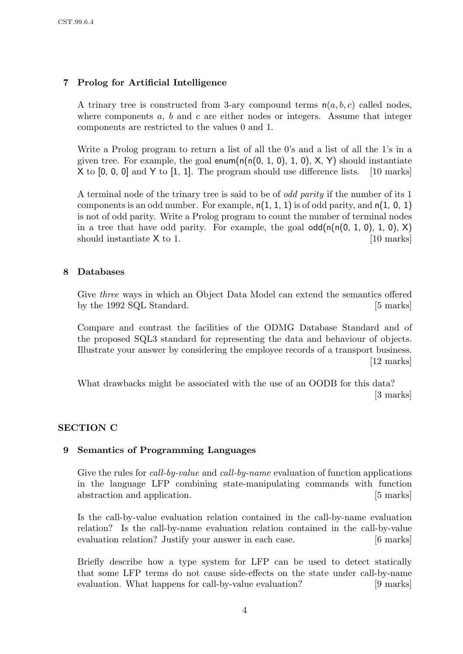# 7 Prolog for Artificial Intelligence

A trinary tree is constructed from 3-ary compound terms  $n(a, b, c)$  called nodes, where components  $a, b$  and  $c$  are either nodes or integers. Assume that integer components are restricted to the values 0 and 1.

Write a Prolog program to return a list of all the 0's and a list of all the 1's in a given tree. For example, the goal enum( $n(n(0, 1, 0), 1, 0)$ , X, Y) should instantiate X to [0, 0, 0] and Y to [1, 1]. The program should use difference lists. [10 marks]

A terminal node of the trinary tree is said to be of odd parity if the number of its 1 components is an odd number. For example,  $n(1, 1, 1)$  is of odd parity, and  $n(1, 0, 1)$ is not of odd parity. Write a Prolog program to count the number of terminal nodes in a tree that have odd parity. For example, the goal  $\text{odd}(\textsf{n}(\textsf{n}(0, 1, 0), 1, 0), X)$ should instantiate  $X$  to 1. [10 marks]

# 8 Databases

Give three ways in which an Object Data Model can extend the semantics offered by the 1992 SQL Standard. [5 marks]

Compare and contrast the facilities of the ODMG Database Standard and of the proposed SQL3 standard for representing the data and behaviour of objects. Illustrate your answer by considering the employee records of a transport business. [12 marks]

What drawbacks might be associated with the use of an OODB for this data? [3 marks]

# SECTION C

## 9 Semantics of Programming Languages

Give the rules for *call-by-value* and *call-by-name* evaluation of function applications in the language LFP combining state-manipulating commands with function abstraction and application. [5 marks]

Is the call-by-value evaluation relation contained in the call-by-name evaluation relation? Is the call-by-name evaluation relation contained in the call-by-value evaluation relation? Justify your answer in each case. [6 marks]

Briefly describe how a type system for LFP can be used to detect statically that some LFP terms do not cause side-effects on the state under call-by-name evaluation. What happens for call-by-value evaluation? [9 marks]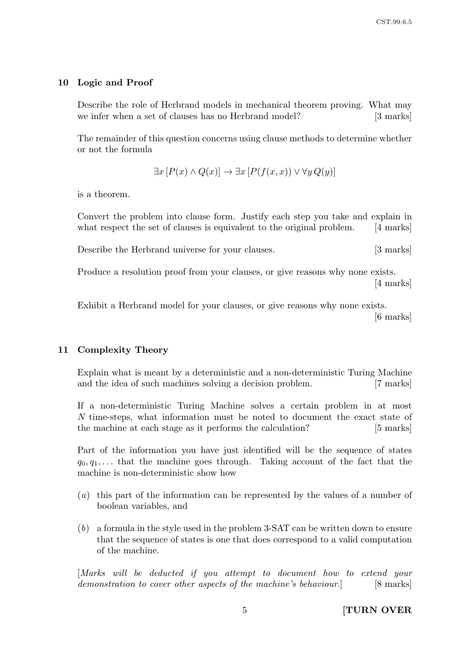## 10 Logic and Proof

Describe the role of Herbrand models in mechanical theorem proving. What may we infer when a set of clauses has no Herbrand model? [3 marks]

The remainder of this question concerns using clause methods to determine whether or not the formula

$$
\exists x [P(x) \land Q(x)] \rightarrow \exists x [P(f(x,x)) \lor \forall y Q(y)]
$$

is a theorem.

Convert the problem into clause form. Justify each step you take and explain in what respect the set of clauses is equivalent to the original problem. [4 marks]

Describe the Herbrand universe for your clauses. [3 marks]

Produce a resolution proof from your clauses, or give reasons why none exists. [4 marks]

Exhibit a Herbrand model for your clauses, or give reasons why none exists. [6 marks]

## 11 Complexity Theory

Explain what is meant by a deterministic and a non-deterministic Turing Machine and the idea of such machines solving a decision problem. [7 marks]

If a non-deterministic Turing Machine solves a certain problem in at most N time-steps, what information must be noted to document the exact state of the machine at each stage as it performs the calculation? [5 marks]

Part of the information you have just identified will be the sequence of states  $q_0, q_1, \ldots$  that the machine goes through. Taking account of the fact that the machine is non-deterministic show how

- (a) this part of the information can be represented by the values of a number of boolean variables, and
- (b) a formula in the style used in the problem 3-SAT can be written down to ensure that the sequence of states is one that does correspond to a valid computation of the machine.

[Marks will be deducted if you attempt to document how to extend your demonstration to cover other aspects of the machine's behaviour. [8 marks]